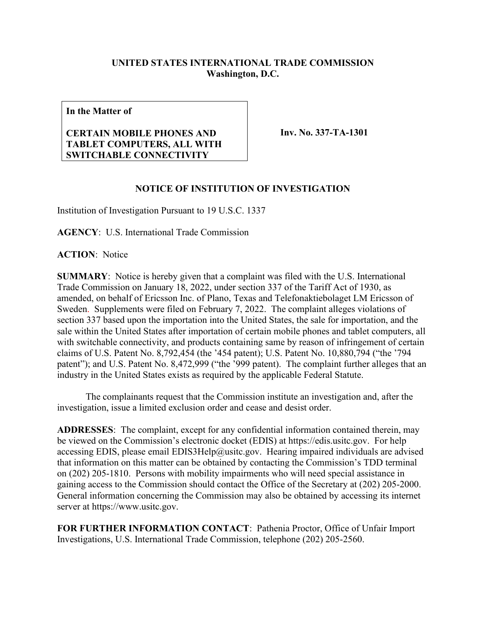## **UNITED STATES INTERNATIONAL TRADE COMMISSION Washington, D.C.**

**In the Matter of**

## **CERTAIN MOBILE PHONES AND TABLET COMPUTERS, ALL WITH SWITCHABLE CONNECTIVITY**

**Inv. No. 337-TA-1301**

## **NOTICE OF INSTITUTION OF INVESTIGATION**

Institution of Investigation Pursuant to 19 U.S.C. 1337

**AGENCY**: U.S. International Trade Commission

**ACTION**: Notice

**SUMMARY**: Notice is hereby given that a complaint was filed with the U.S. International Trade Commission on January 18, 2022, under section 337 of the Tariff Act of 1930, as amended, on behalf of Ericsson Inc. of Plano, Texas and Telefonaktiebolaget LM Ericsson of Sweden. Supplements were filed on February 7, 2022. The complaint alleges violations of section 337 based upon the importation into the United States, the sale for importation, and the sale within the United States after importation of certain mobile phones and tablet computers, all with switchable connectivity, and products containing same by reason of infringement of certain claims of U.S. Patent No. 8,792,454 (the '454 patent); U.S. Patent No. 10,880,794 ("the '794 patent"); and U.S. Patent No. 8,472,999 ("the '999 patent). The complaint further alleges that an industry in the United States exists as required by the applicable Federal Statute.

The complainants request that the Commission institute an investigation and, after the investigation, issue a limited exclusion order and cease and desist order.

**ADDRESSES**: The complaint, except for any confidential information contained therein, may be viewed on the Commission's electronic docket (EDIS) at https://edis.usitc.gov. For help accessing EDIS, please email EDIS3Help@usitc.gov. Hearing impaired individuals are advised that information on this matter can be obtained by contacting the Commission's TDD terminal on (202) 205-1810. Persons with mobility impairments who will need special assistance in gaining access to the Commission should contact the Office of the Secretary at (202) 205-2000. General information concerning the Commission may also be obtained by accessing its internet server at https://www.usitc.gov.

**FOR FURTHER INFORMATION CONTACT**: Pathenia Proctor, Office of Unfair Import Investigations, U.S. International Trade Commission, telephone (202) 205-2560.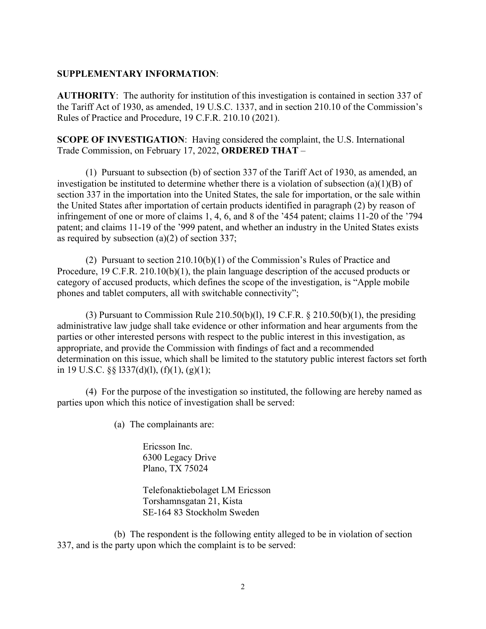## **SUPPLEMENTARY INFORMATION**:

**AUTHORITY**: The authority for institution of this investigation is contained in section 337 of the Tariff Act of 1930, as amended, 19 U.S.C. 1337, and in section 210.10 of the Commission's Rules of Practice and Procedure, 19 C.F.R. 210.10 (2021).

**SCOPE OF INVESTIGATION**: Having considered the complaint, the U.S. International Trade Commission, on February 17, 2022, **ORDERED THAT** –

(1) Pursuant to subsection (b) of section 337 of the Tariff Act of 1930, as amended, an investigation be instituted to determine whether there is a violation of subsection (a)(1)(B) of section 337 in the importation into the United States, the sale for importation, or the sale within the United States after importation of certain products identified in paragraph (2) by reason of infringement of one or more of claims 1, 4, 6, and 8 of the '454 patent; claims 11-20 of the '794 patent; and claims 11-19 of the '999 patent, and whether an industry in the United States exists as required by subsection (a)(2) of section 337;

(2) Pursuant to section 210.10(b)(1) of the Commission's Rules of Practice and Procedure, 19 C.F.R. 210.10(b)(1), the plain language description of the accused products or category of accused products, which defines the scope of the investigation, is "Apple mobile phones and tablet computers, all with switchable connectivity";

(3) Pursuant to Commission Rule 210.50(b)(1), 19 C.F.R.  $\S$  210.50(b)(1), the presiding administrative law judge shall take evidence or other information and hear arguments from the parties or other interested persons with respect to the public interest in this investigation, as appropriate, and provide the Commission with findings of fact and a recommended determination on this issue, which shall be limited to the statutory public interest factors set forth in 19 U.S.C.  $\S$   $\S$  1337(d)(1), (f)(1), (g)(1);

(4) For the purpose of the investigation so instituted, the following are hereby named as parties upon which this notice of investigation shall be served:

(a) The complainants are:

Ericsson Inc. 6300 Legacy Drive Plano, TX 75024

Telefonaktiebolaget LM Ericsson Torshamnsgatan 21, Kista SE-164 83 Stockholm Sweden

(b) The respondent is the following entity alleged to be in violation of section 337, and is the party upon which the complaint is to be served: